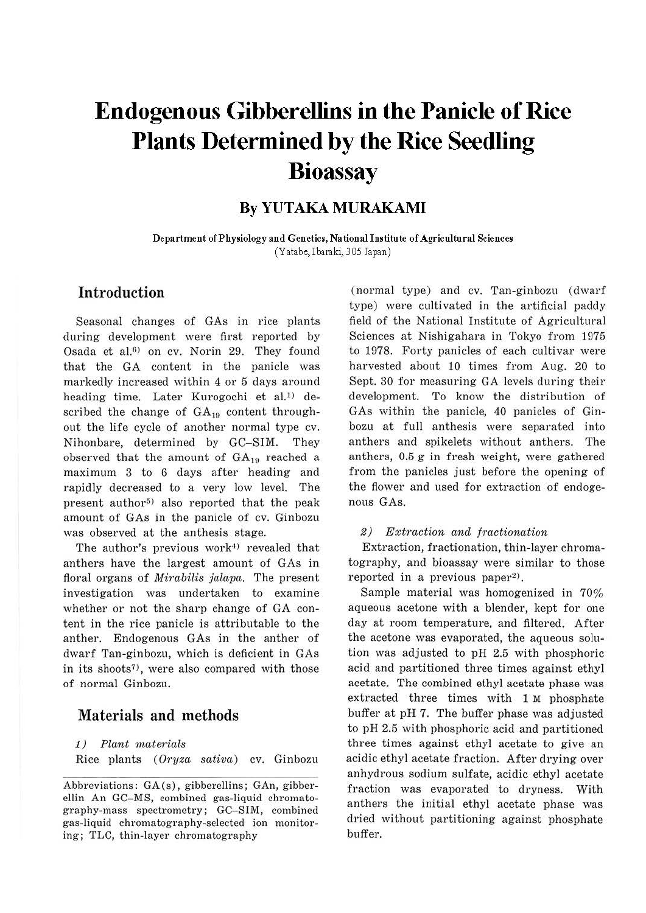# **Endogenous Gibberellins in the Panicle of Rice Plants Determined by the Rice Seedling Bioassay**

# **By YUTAKA MURAKAMI**

**Department of Physiology and Genetics, National Institute of Agricultural Sciences**  (Yatabe, Ibaraki, 305 Japan)

# **Introduction**

Seasonal changes of GAs in rice plants during development were first reported by Osada et al. $6$  on cv. Norin 29. They found that the GA content in the panicle was markedly increased within 4 or 5 days around heading time. Later Kurogochi et al.<sup>1)</sup> described the change of  $GA_{19}$  content throughout the life cycle of another normal type cv. Nihonbare, determined by GC-SIM. They observed that the amount of  $GA_{19}$  reached a maximum 3 to 6 days after heading and rapidly decreased to a very low level. The present author<sup>5)</sup> also reported that the peak amount of GAs in the panicle of cv. Ginbozu was observed at the anthesis stage.

The author's previous work<sup>4)</sup> revealed that anthers have the largest amount of GAs in floral organs of *Mirabilis jalapa*. The present investigation was undertaken to examine whether or not the sharp change of GA content in the rice panicle is attributable to the anther. Endogenous GAs in the anther of dwarf Tan-ginbozu, which is deficient in GAs in its shoots<sup> $7$ </sup>, were also compared with those of normal Ginbozu.

## Materials and methods

1) Plant materials

Rice plants (Oryza sativa) cv. Ginbozu

(normal type) and cv. Tan-ginbozu (dwarf type) were cultivated in the artificial paddy field of the National Institute of Agricultural Sciences at Nishigahara in Tokyo from 1975 to 1978. Forty panicles of each cultivar were harvested about 10 times from Aug. 20 to Sept. 30 for measuring GA levels during their development. To know the distribution of GAs within the panicle, 40 panicles of Ginbozu at full anthesis were separated into anthers and spikelets without anthers. The anthers, 0.5 g in fresh weight, were gathered from the panicles just before the opening of the flower and used for extraction of endogenous GAs.

### 2) Extraction and fractionation

Extraction, fractionation, thin-layer chromatography, and bioassay were similar to those reported in a previous paper<sup>2</sup>).

Sample material was homogenized in 70% aqueous acetone with a blender, kept for one day at room temperature, and filtered. After the acetone was evaporated, the aqueous solution was adjusted to pH 2.5 with phosphoric acid and partitioned three times against ethyl acetate. The combined ethyl acetate phase was extracted three times with 1 M phosphate buffer at pH 7. The buffer phase was adjusted to pH 2.5 with phosphoric acid and partitioned three times against ethyl acetate to give an acidic ethyl acetate fraction. After drying over anhydrous sodium sulfate, acidic ethyl acetate fraction was evaporated to dryness. With anthers the initial ethyl acetate phase was dried without partitioning against phosphate buffer.

Abbreviations: GA(s), gibberellins; GAn, gibberellin An GC-MS, combined gas-liquid chromatography-mass spectrometry; GC-SIM, combined gas-liquid chromatography-selected ion monitoring; TLC, thin-layer chromatography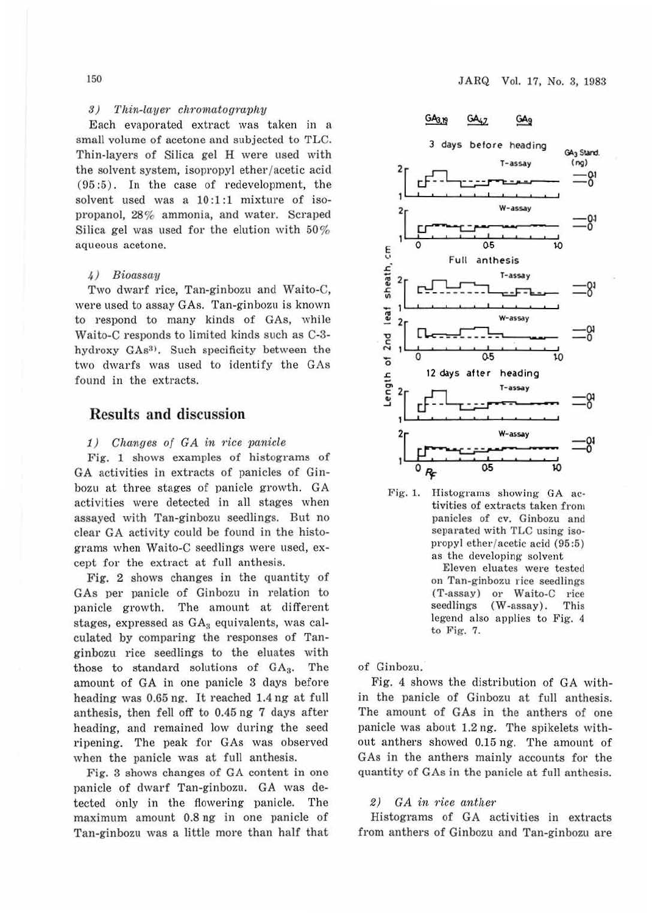## $3)$  Thin-layer chromatography

Each evaporated extract was taken in a small volume of acetone and subjected to TLC. Thin-layers of Silica gel H were used with the solvent system, isopropyl ether/acetic acid (95 :5) . In the case of redevelopment, the solvent used was a 10:1:1 mixture of isopropanol, 28% ammonia, and water. Scraped Silica gel was used for the elution with  $50\%$ aqueous acetone.

#### *4)* Bioassciy

Two dwarf rice, Tan-ginbozu and Waito-C, were used to assay GAs. Tan-ginbozu is known to respond to many kinds of GAs, while Waito-C responds to limited kinds such as C-3 hydroxy GAs<sup>3</sup>). Such specificity between the two dwarfs was used to identify the GAs found in the extracts.

## Results and discussion

## $1)$  Changes of GA in rice panicle

Fig. 1 shows examples of histograms of GA activities in extracts of panicles of Ginbozu at three stages of panicle growth. GA activities were detected in all stages when assayed with Tan-ginbozu seedlings. But no clear GA activity could be found in the histograms when Waito-C seedlings were used, except for the extract at full anthesis.

Fig. 2 shows changes in the quantity of GAs per panicle of Ginbozu in relation to panicle growth. The amount at different stages, expressed as  $GA_3$  equivalents, was calculated by comparing the responses of Tanginbozu rice seedlings to the eluates with those to standard solutions of  $GA<sub>3</sub>$ . The amount of GA in one panicle 3 days before heading was 0.65 ng. It reached 1.4 ng at full anthesis, then fell off to 0.45 ng 7 days after heading, and remained low during the seed ripening. The peak for GAs was observed when the panicle was at full anthesis.

Fig. 3 shows changes of GA content in one panicle of dwarf Tan-ginbozu. GA was detected only in the flowering panicle. The maximum amount 0.8 ng in one panicle of Tan-ginbozu was a little more than half that



Fig. 1. Histograms showing GA activities of extracts taken from panicles of cv. Ginbozu and separated with TLC using isopropyl ether/ acetic acid (95:5) as the developing solvent

Eleven eluates were tested on Tan-ginbozu rice seedlings (T-assay) or Waito-C rice seedlings (W-assay). This legend also applies to Fig. 4 to Fig. 7.

of Ginbozu.

Fig. 4 shows the distribution of GA within the panicle of Ginbozu at full anthesis. The amount of GAs in the anthers of one panicle was about 1.2 ng. The spikelets without anthers showed 0.15 ng. The amount of GAs in the anthers mainly accounts for the quantity of GAs in the panicle at full anthesis.

#### *2) GA in* rice *cinthe1·*

Histograms of GA activities in extracts from anthers of Ginbozu and Tan-ginbozu are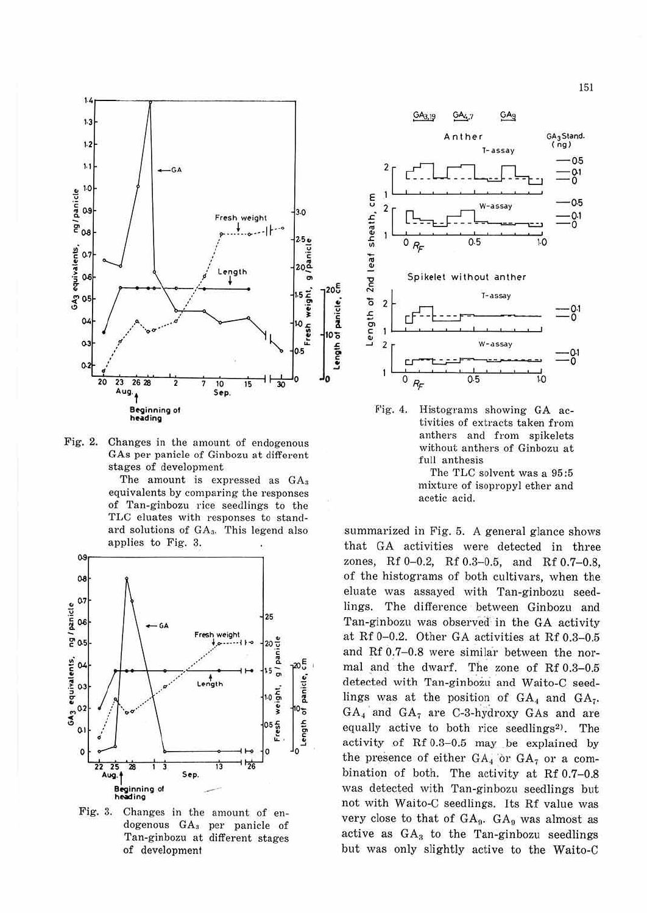

Fig. 2. Changes in the amount of endogenous GAs per panicle of Ginbozu at different stages of development

The amount is expressed as GA<sub>3</sub> equivalents by comparing the responses of Tan-ginbozu rice seedlings to the TLC eluates with responses to standard solutions of GA<sub>3</sub>. This legend also applies to Fig. 3.



Fig. 3. Changes in the amount of endogenous GA<sub>3</sub> per panicle of Tan-ginbozu at different stages of development



 $Fig. 4.$ Histograms showing GA activities of extracts taken from anthers and from spikelets without anthers of Ginbozu at full anthesis The TLC solvent was a 95:5

mixture of isopropyl ether and acetic acid.

summarized in Fig. 5. A general glance shows that GA activities were detected in three zones, Rf 0-0.2, Rf 0.3-0.5, and Rf 0.7-0.8, of the histograms of both cultivars, when the eluate was assayed with Tan-ginbozu seedlings. The difference between Ginbozu and Tan-ginbozu was observed in the GA activity at Rf 0-0.2. Other GA activities at Rf 0.3-0.5 and Rf 0.7-0.8 were similar between the normal and the dwarf. The zone of Rf 0.3-0.5 detected with Tan-ginbozu and Waito-C seedlings was at the position of  $GA_4$  and  $GA_7$ .  $GA_4$  and  $GA_7$  are C-3-hydroxy GAs and are equally active to both rice seedlings<sup>2)</sup>. The activity of Rf 0.3-0.5 may be explained by the presence of either  $GA_4$  or  $GA_7$  or a combination of both. The activity at Rf 0.7-0.8 was detected with Tan-ginbozu seedlings but not with Waito-C seedlings. Its Rf value was very close to that of  $GA_9$ .  $GA_9$  was almost as active as GA<sub>3</sub> to the Tan-ginbozu seedlings but was only slightly active to the Waito-C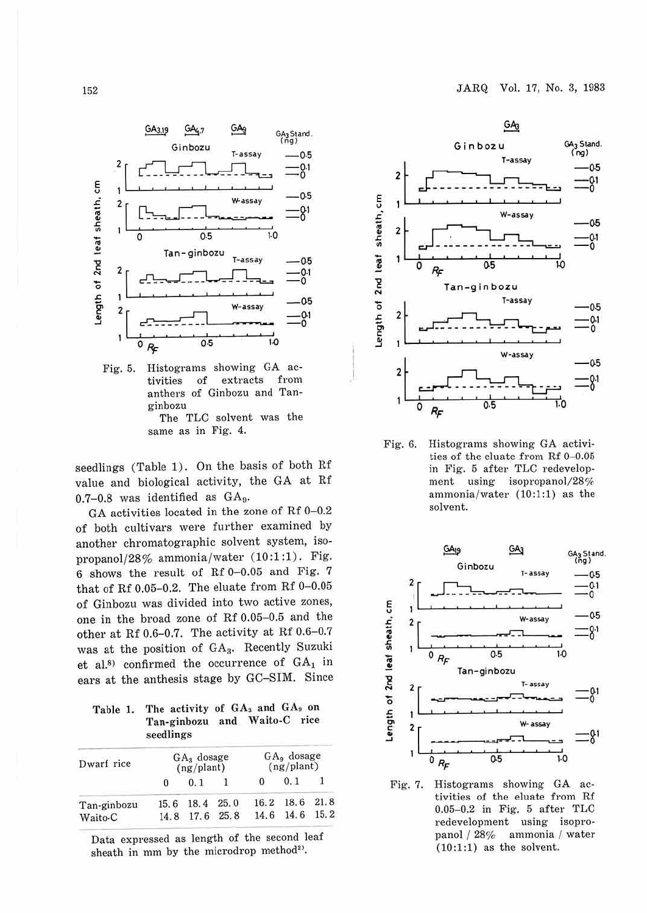

Fig. 5. Histograms showing GA activities of extracts from anthers of Ginbozu and Tanginbozu The TLC solvent was the same as in Fig. 4.

seedlings (Table 1). On the basis of both Rf value and biological activity, the GA at Rf  $0.7-0.8$  was identified as  $GA_9$ .

GA activities located in the zone of Rf 0-0.2 of both cultivars were further examined by another chromatographic solvent system, isopropanol/28% ammonia/water (10:1:1). Fig. 6 shows the result of Rf 0-0.05 and Fig. 7 that of Rf 0.05-0.2. The eluate from Rf  $0-0.05$ of Ginbozu was divided into two active zones, one in the broad zone of Rf 0.05-0.5 and the other at Rf 0.6-0.7. The activity at Rf 0.6-0.7 was at the position of GA3. Recently Suzuki et al.<sup>8)</sup> confirmed the occurrence of  $GA_1$  in ears at the anthesis stage by GC-SIM. Since

Table 1. The activity of  $GA_3$  and  $GA_9$  on Tan-ginhozu and Waito-C rice seedlings

| Dwarf rice  | $GA3$ dosage<br>(ng/plant) |      |      | $GA9$ dosage<br>(ng/plant) |           |           |
|-------------|----------------------------|------|------|----------------------------|-----------|-----------|
|             |                            | 0.1  |      | 0                          | 0.1       |           |
| Tan-ginbozu | 15.6                       | 18.4 | 25.0 | 16.2                       | 18.6 21.8 |           |
| Waito-C     | 14.8                       | 17.6 | 25.8 | 14.6                       |           | 14.6 15.2 |

Data expressed as length of the second leaf sheath in mm by the microdrop method<sup>2)</sup>.



Fig. 6. Histograms showing GA activities of the eluate from Rf 0-0.05 in Fig. 5 after TLC redevelopment using isopropanol/28% ammonia/water (10:1:1) as the solvent.



Fig. 7. Histograms showing GA activities of the eluate from Rf 0.05-0.2 in Fig. 5 after TLC redevelopment using isopropanol / 28% ammonia / water (10:1:1) as the solvent.